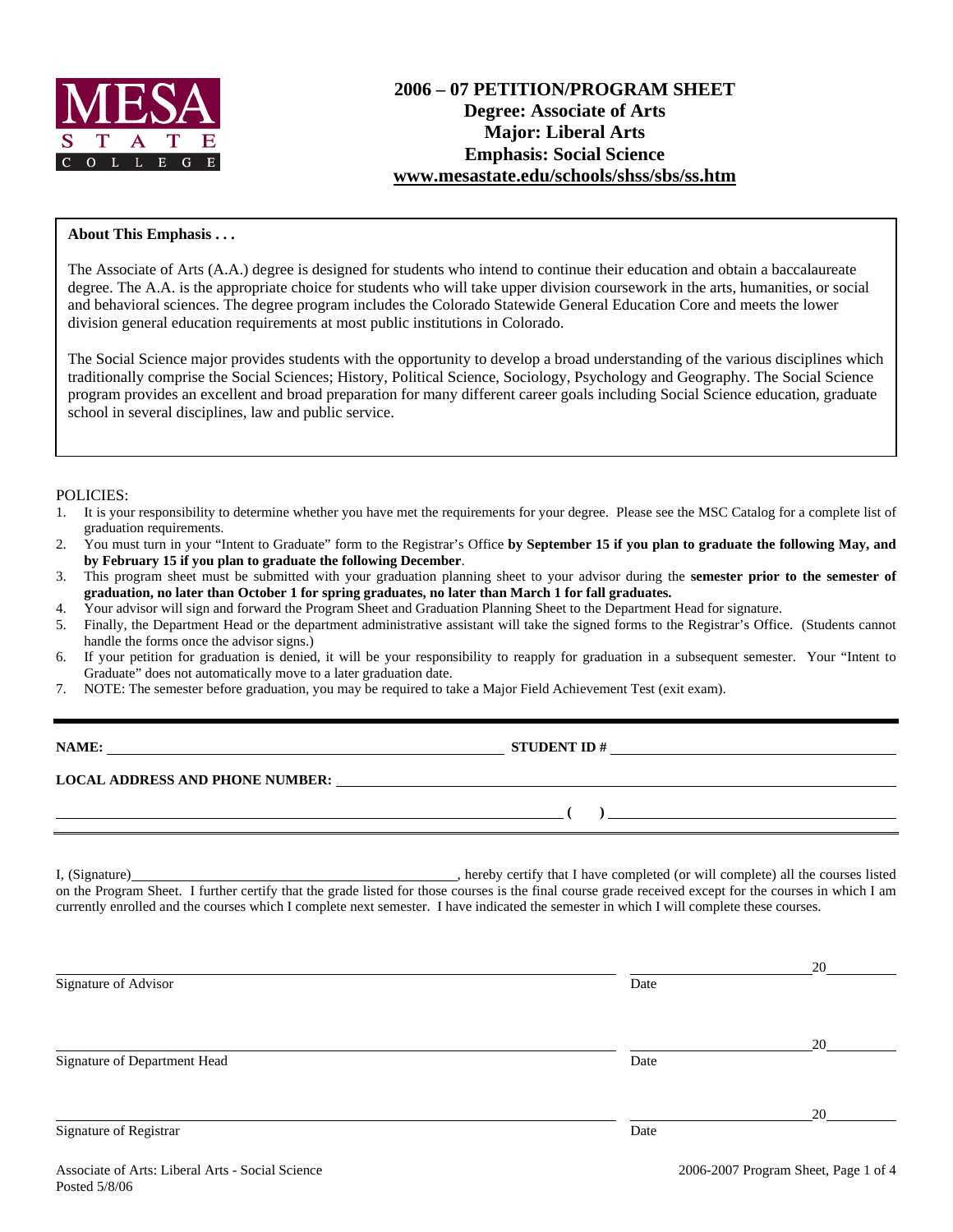

# **About This Emphasis . . .**

The Associate of Arts (A.A.) degree is designed for students who intend to continue their education and obtain a baccalaureate degree. The A.A. is the appropriate choice for students who will take upper division coursework in the arts, humanities, or social and behavioral sciences. The degree program includes the Colorado Statewide General Education Core and meets the lower division general education requirements at most public institutions in Colorado.

The Social Science major provides students with the opportunity to develop a broad understanding of the various disciplines which traditionally comprise the Social Sciences; History, Political Science, Sociology, Psychology and Geography. The Social Science program provides an excellent and broad preparation for many different career goals including Social Science education, graduate school in several disciplines, law and public service.

### POLICIES:

- 1. It is your responsibility to determine whether you have met the requirements for your degree. Please see the MSC Catalog for a complete list of graduation requirements.
- 2. You must turn in your "Intent to Graduate" form to the Registrar's Office **by September 15 if you plan to graduate the following May, and by February 15 if you plan to graduate the following December**.
- 3. This program sheet must be submitted with your graduation planning sheet to your advisor during the **semester prior to the semester of graduation, no later than October 1 for spring graduates, no later than March 1 for fall graduates.**
- 4. Your advisor will sign and forward the Program Sheet and Graduation Planning Sheet to the Department Head for signature.
- 5. Finally, the Department Head or the department administrative assistant will take the signed forms to the Registrar's Office. (Students cannot handle the forms once the advisor signs.)
- 6. If your petition for graduation is denied, it will be your responsibility to reapply for graduation in a subsequent semester. Your "Intent to Graduate" does not automatically move to a later graduation date.
- 7. NOTE: The semester before graduation, you may be required to take a Major Field Achievement Test (exit exam).

| NAME:                                  | <b>STUDENT ID#</b> |
|----------------------------------------|--------------------|
| <b>LOCAL ADDRESS AND PHONE NUMBER:</b> |                    |
|                                        |                    |

I, (Signature) , hereby certify that I have completed (or will complete) all the courses listed on the Program Sheet. I further certify that the grade listed for those courses is the final course grade received except for the courses in which I am currently enrolled and the courses which I complete next semester. I have indicated the semester in which I will complete these courses.

|                              |      | 20 |
|------------------------------|------|----|
| Signature of Advisor         | Date |    |
|                              |      |    |
|                              |      | 20 |
| Signature of Department Head | Date |    |
|                              |      |    |
|                              |      | 20 |
| Signature of Registrar       | Date |    |
|                              |      |    |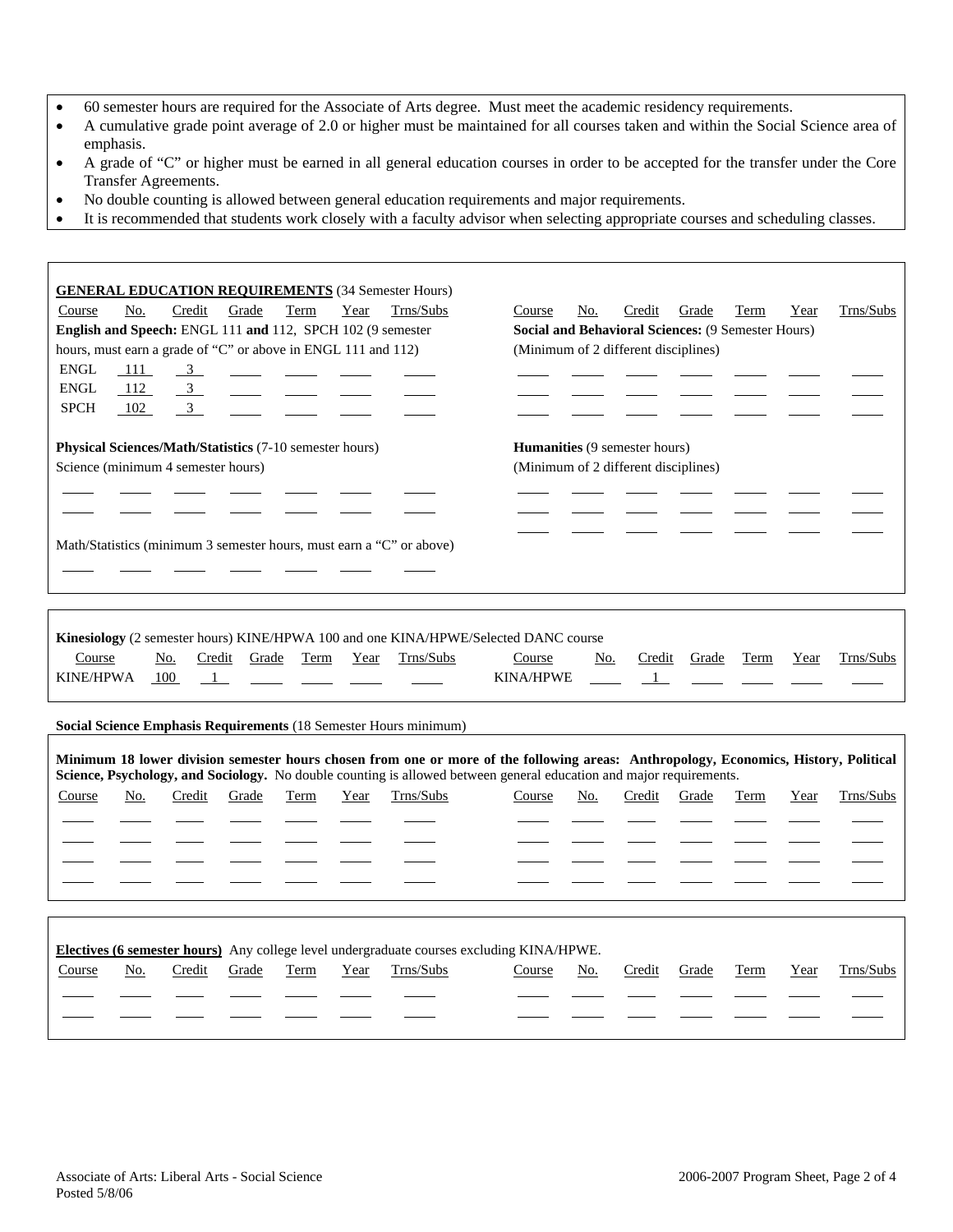- 60 semester hours are required for the Associate of Arts degree. Must meet the academic residency requirements.
- A cumulative grade point average of 2.0 or higher must be maintained for all courses taken and within the Social Science area of emphasis.
- A grade of "C" or higher must be earned in all general education courses in order to be accepted for the transfer under the Core Transfer Agreements.
- No double counting is allowed between general education requirements and major requirements.
- It is recommended that students work closely with a faculty advisor when selecting appropriate courses and scheduling classes.

| <b>GENERAL EDUCATION REQUIREMENTS (34 Semester Hours)</b><br>No.<br>Course<br>Credit<br>Grade<br>Term<br>Year<br>English and Speech: ENGL 111 and 112, SPCH 102 (9 semester<br>hours, must earn a grade of "C" or above in ENGL 111 and 112)<br><b>ENGL</b><br>111<br>$\frac{3}{2}$<br>ENGL<br>112<br>$\frac{3}{2}$<br><b>SPCH</b><br>102<br>$\overline{3}$ | Trns/Subs | No.<br>Course<br>Social and Behavioral Sciences: (9 Semester Hours)<br>(Minimum of 2 different disciplines) | Credit                 | Grade | Term | Year | Trns/Subs |
|-------------------------------------------------------------------------------------------------------------------------------------------------------------------------------------------------------------------------------------------------------------------------------------------------------------------------------------------------------------|-----------|-------------------------------------------------------------------------------------------------------------|------------------------|-------|------|------|-----------|
| Physical Sciences/Math/Statistics (7-10 semester hours)<br>Science (minimum 4 semester hours)                                                                                                                                                                                                                                                               |           | Humanities (9 semester hours)<br>(Minimum of 2 different disciplines)                                       |                        |       |      |      |           |
| Math/Statistics (minimum 3 semester hours, must earn a "C" or above)                                                                                                                                                                                                                                                                                        |           |                                                                                                             |                        |       |      |      |           |
| <b>Kinesiology</b> (2 semester hours) KINE/HPWA 100 and one KINA/HPWE/Selected DANC course<br>Credit<br>Term<br>Year<br>Course<br>No.<br>Grade<br>KINE/HPWA<br>100<br>$\frac{1}{2}$                                                                                                                                                                         | Trns/Subs | No.<br>Course<br><b>KINA/HPWE</b>                                                                           | Credit<br>$\mathbf{1}$ | Grade | Term | Year | Trns/Subs |
| Social Science Emphasis Requirements (18 Semester Hours minimum)                                                                                                                                                                                                                                                                                            |           |                                                                                                             |                        |       |      |      |           |
| Minimum 18 lower division semester hours chosen from one or more of the following areas: Anthropology, Economics, History, Political<br>Science, Psychology, and Sociology. No double counting is allowed between general education and major requirements.                                                                                                 |           |                                                                                                             |                        |       |      |      |           |
| Course<br>Credit<br>Grade<br>Term<br>Year<br>No.                                                                                                                                                                                                                                                                                                            | Trns/Subs | Course<br>No.                                                                                               | Credit                 | Grade | Term | Year | Trns/Subs |
|                                                                                                                                                                                                                                                                                                                                                             |           |                                                                                                             |                        |       |      |      |           |
|                                                                                                                                                                                                                                                                                                                                                             |           |                                                                                                             |                        |       |      |      |           |
|                                                                                                                                                                                                                                                                                                                                                             |           |                                                                                                             |                        |       |      |      |           |
|                                                                                                                                                                                                                                                                                                                                                             |           |                                                                                                             |                        |       |      |      |           |
| Electives (6 semester hours) Any college level undergraduate courses excluding KINA/HPWE.                                                                                                                                                                                                                                                                   |           |                                                                                                             |                        |       |      |      |           |
| Course<br>No.<br>Credit<br>Grade<br>Term<br>Year                                                                                                                                                                                                                                                                                                            | Trns/Subs | Course<br>No.                                                                                               | Credit                 | Grade | Term | Year | Trns/Subs |
|                                                                                                                                                                                                                                                                                                                                                             |           |                                                                                                             |                        |       |      |      |           |
|                                                                                                                                                                                                                                                                                                                                                             |           |                                                                                                             |                        |       |      |      |           |

Π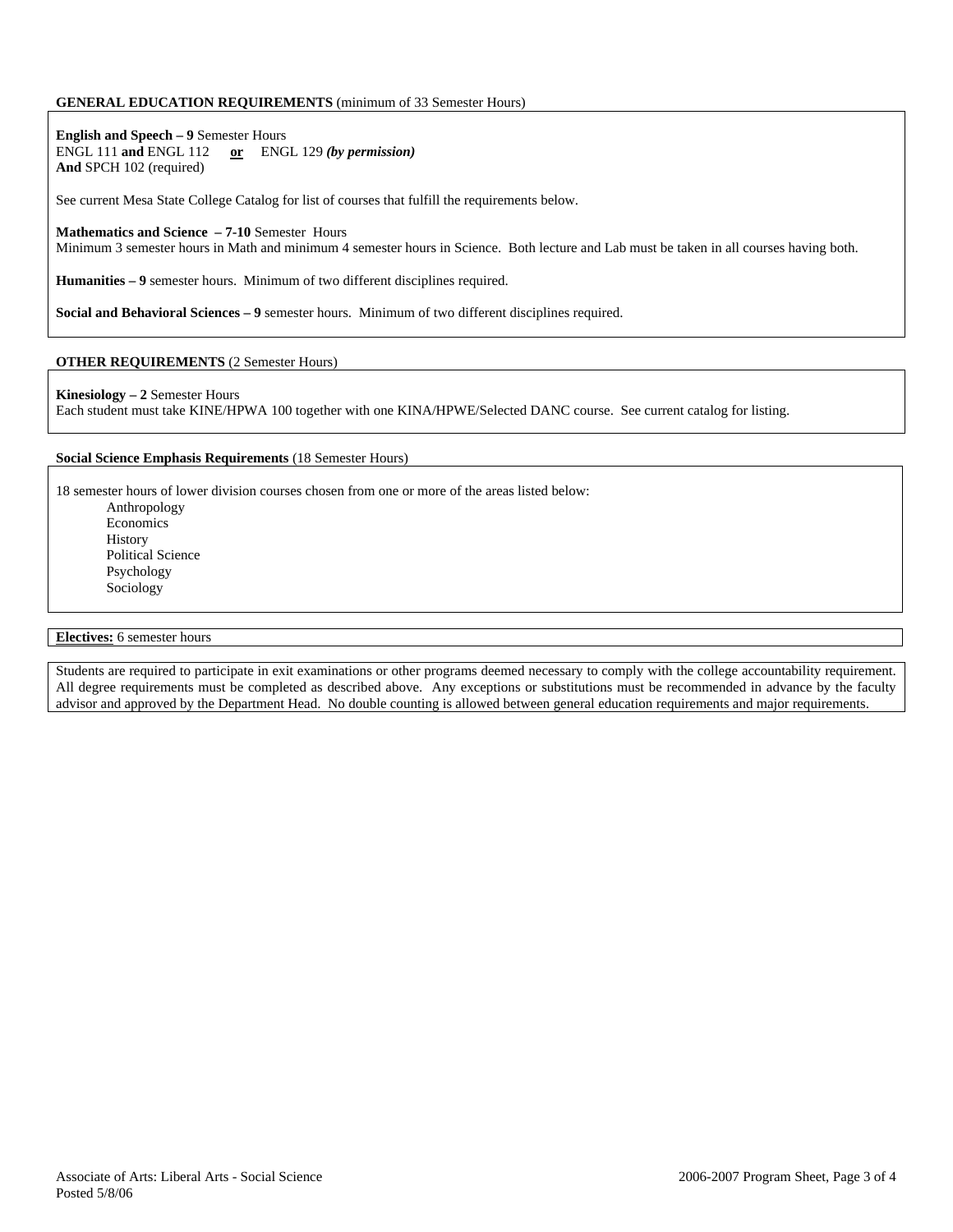# **GENERAL EDUCATION REQUIREMENTS** (minimum of 33 Semester Hours)

**English and Speech – 9** Semester Hours ENGL 111 **and** ENGL 112 **or** ENGL 129 *(by permission)* **And** SPCH 102 (required)

See current Mesa State College Catalog for list of courses that fulfill the requirements below.

#### **Mathematics and Science – 7-10** Semester Hours

Minimum 3 semester hours in Math and minimum 4 semester hours in Science. Both lecture and Lab must be taken in all courses having both.

**Humanities – 9** semester hours. Minimum of two different disciplines required.

**Social and Behavioral Sciences – 9** semester hours. Minimum of two different disciplines required.

# **OTHER REQUIREMENTS** (2 Semester Hours)

#### **Kinesiology – 2** Semester Hours

Each student must take KINE/HPWA 100 together with one KINA/HPWE/Selected DANC course. See current catalog for listing.

#### **Social Science Emphasis Requirements** (18 Semester Hours)

18 semester hours of lower division courses chosen from one or more of the areas listed below: Anthropology

Economics History Political Science Psychology Sociology

### **Electives:** 6 semester hours

Students are required to participate in exit examinations or other programs deemed necessary to comply with the college accountability requirement. All degree requirements must be completed as described above. Any exceptions or substitutions must be recommended in advance by the faculty advisor and approved by the Department Head. No double counting is allowed between general education requirements and major requirements.